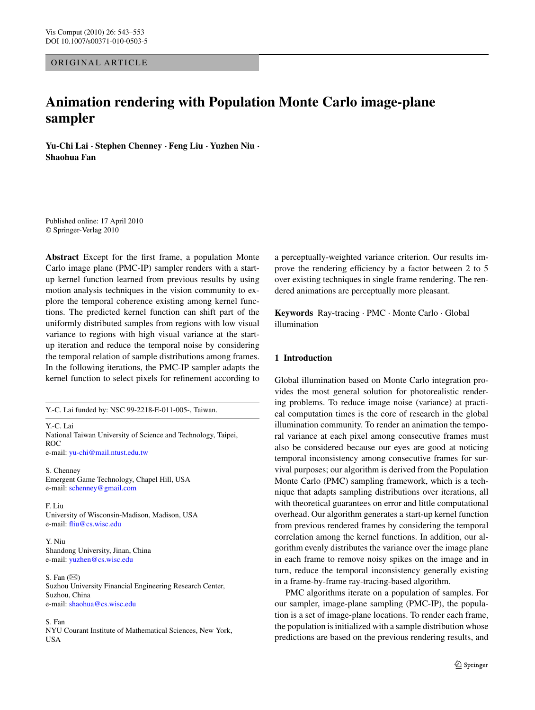ORIGINAL ARTICLE

# **Animation rendering with Population Monte Carlo image-plane sampler**

**Yu-Chi Lai · Stephen Chenney · Feng Liu · Yuzhen Niu · Shaohua Fan**

Published online: 17 April 2010 © Springer-Verlag 2010

**Abstract** Except for the first frame, a population Monte Carlo image plane (PMC-IP) sampler renders with a startup kernel function learned from previous results by using motion analysis techniques in the vision community to explore the temporal coherence existing among kernel functions. The predicted kernel function can shift part of the uniformly distributed samples from regions with low visual variance to regions with high visual variance at the startup iteration and reduce the temporal noise by considering the temporal relation of sample distributions among frames. In the following iterations, the PMC-IP sampler adapts the kernel function to select pixels for refinement according to

Y.-C. Lai funded by: NSC 99-2218-E-011-005-, Taiwan.

Y.-C. Lai National Taiwan University of Science and Technology, Taipei, ROC e-mail: [yu-chi@mail.ntust.edu.tw](mailto:yu-chi@mail.ntust.edu.tw)

S. Chenney Emergent Game Technology, Chapel Hill, USA e-mail: [schenney@gmail.com](mailto:schenney@gmail.com)

F. Liu University of Wisconsin-Madison, Madison, USA e-mail: [fliu@cs.wisc.edu](mailto:fliu@cs.wisc.edu)

Y. Niu Shandong University, Jinan, China e-mail: [yuzhen@cs.wisc.edu](mailto:yuzhen@cs.wisc.edu)

S. Fan  $(\boxtimes)$ Suzhou University Financial Engineering Research Center, Suzhou, China e-mail: [shaohua@cs.wisc.edu](mailto:shaohua@cs.wisc.edu)

S. Fan NYU Courant Institute of Mathematical Sciences, New York, **USA** 

a perceptually-weighted variance criterion. Our results improve the rendering efficiency by a factor between 2 to 5 over existing techniques in single frame rendering. The rendered animations are perceptually more pleasant.

**Keywords** Ray-tracing · PMC · Monte Carlo · Global illumination

## **1 Introduction**

Global illumination based on Monte Carlo integration provides the most general solution for photorealistic rendering problems. To reduce image noise (variance) at practical computation times is the core of research in the global illumination community. To render an animation the temporal variance at each pixel among consecutive frames must also be considered because our eyes are good at noticing temporal inconsistency among consecutive frames for survival purposes; our algorithm is derived from the Population Monte Carlo (PMC) sampling framework, which is a technique that adapts sampling distributions over iterations, all with theoretical guarantees on error and little computational overhead. Our algorithm generates a start-up kernel function from previous rendered frames by considering the temporal correlation among the kernel functions. In addition, our algorithm evenly distributes the variance over the image plane in each frame to remove noisy spikes on the image and in turn, reduce the temporal inconsistency generally existing in a frame-by-frame ray-tracing-based algorithm.

PMC algorithms iterate on a population of samples. For our sampler, image-plane sampling (PMC-IP), the population is a set of image-plane locations. To render each frame, the population is initialized with a sample distribution whose predictions are based on the previous rendering results, and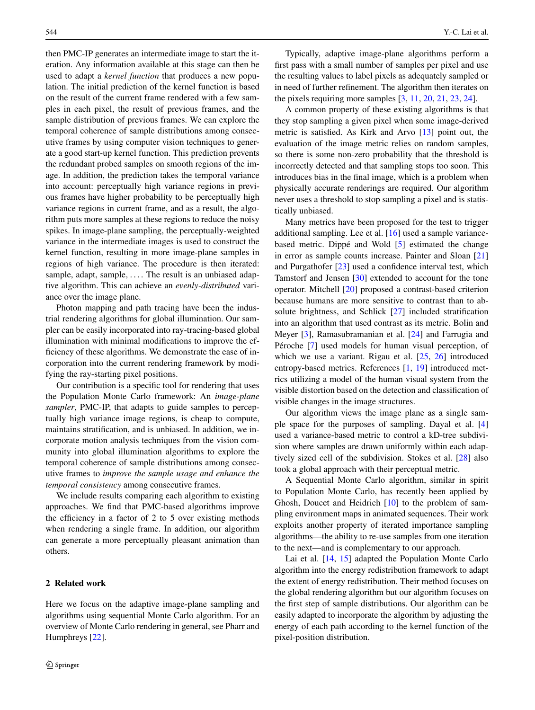then PMC-IP generates an intermediate image to start the iteration. Any information available at this stage can then be used to adapt a *kernel function* that produces a new population. The initial prediction of the kernel function is based on the result of the current frame rendered with a few samples in each pixel, the result of previous frames, and the sample distribution of previous frames. We can explore the temporal coherence of sample distributions among consecutive frames by using computer vision techniques to generate a good start-up kernel function. This prediction prevents the redundant probed samples on smooth regions of the image. In addition, the prediction takes the temporal variance into account: perceptually high variance regions in previous frames have higher probability to be perceptually high variance regions in current frame, and as a result, the algorithm puts more samples at these regions to reduce the noisy spikes. In image-plane sampling, the perceptually-weighted variance in the intermediate images is used to construct the kernel function, resulting in more image-plane samples in regions of high variance. The procedure is then iterated: sample, adapt, sample*,....* The result is an unbiased adaptive algorithm. This can achieve an *evenly-distributed* variance over the image plane.

Photon mapping and path tracing have been the industrial rendering algorithms for global illumination. Our sampler can be easily incorporated into ray-tracing-based global illumination with minimal modifications to improve the efficiency of these algorithms. We demonstrate the ease of incorporation into the current rendering framework by modifying the ray-starting pixel positions.

Our contribution is a specific tool for rendering that uses the Population Monte Carlo framework: An *image-plane sampler*, PMC-IP, that adapts to guide samples to perceptually high variance image regions, is cheap to compute, maintains stratification, and is unbiased. In addition, we incorporate motion analysis techniques from the vision community into global illumination algorithms to explore the temporal coherence of sample distributions among consecutive frames to *improve the sample usage and enhance the temporal consistency* among consecutive frames.

We include results comparing each algorithm to existing approaches. We find that PMC-based algorithms improve the efficiency in a factor of 2 to 5 over existing methods when rendering a single frame. In addition, our algorithm can generate a more perceptually pleasant animation than others.

## **2 Related work**

Here we focus on the adaptive image-plane sampling and algorithms using sequential Monte Carlo algorithm. For an overview of Monte Carlo rendering in general, see Pharr and Humphreys [[22\]](#page-9-0).

Typically, adaptive image-plane algorithms perform a first pass with a small number of samples per pixel and use the resulting values to label pixels as adequately sampled or in need of further refinement. The algorithm then iterates on the pixels requiring more samples  $[3, 11, 20, 21, 23, 24]$  $[3, 11, 20, 21, 23, 24]$  $[3, 11, 20, 21, 23, 24]$  $[3, 11, 20, 21, 23, 24]$  $[3, 11, 20, 21, 23, 24]$  $[3, 11, 20, 21, 23, 24]$  $[3, 11, 20, 21, 23, 24]$  $[3, 11, 20, 21, 23, 24]$  $[3, 11, 20, 21, 23, 24]$  $[3, 11, 20, 21, 23, 24]$  $[3, 11, 20, 21, 23, 24]$  $[3, 11, 20, 21, 23, 24]$  $[3, 11, 20, 21, 23, 24]$ .

A common property of these existing algorithms is that they stop sampling a given pixel when some image-derived metric is satisfied. As Kirk and Arvo [\[13](#page-9-0)] point out, the evaluation of the image metric relies on random samples, so there is some non-zero probability that the threshold is incorrectly detected and that sampling stops too soon. This introduces bias in the final image, which is a problem when physically accurate renderings are required. Our algorithm never uses a threshold to stop sampling a pixel and is statistically unbiased.

Many metrics have been proposed for the test to trigger additional sampling. Lee et al. [[16\]](#page-9-0) used a sample variancebased metric. Dippé and Wold [\[5](#page-9-0)] estimated the change in error as sample counts increase. Painter and Sloan [[21\]](#page-9-0) and Purgathofer [\[23](#page-9-0)] used a confidence interval test, which Tamstorf and Jensen [[30\]](#page-9-0) extended to account for the tone operator. Mitchell [[20\]](#page-9-0) proposed a contrast-based criterion because humans are more sensitive to contrast than to absolute brightness, and Schlick [[27\]](#page-9-0) included stratification into an algorithm that used contrast as its metric. Bolin and Meyer [[3\]](#page-9-0), Ramasubramanian et al. [[24\]](#page-9-0) and Farrugia and Péroche [\[7](#page-9-0)] used models for human visual perception, of which we use a variant. Rigau et al. [\[25](#page-9-0), [26\]](#page-9-0) introduced entropy-based metrics. References [[1,](#page-9-0) [19\]](#page-9-0) introduced metrics utilizing a model of the human visual system from the visible distortion based on the detection and classification of visible changes in the image structures.

Our algorithm views the image plane as a single sample space for the purposes of sampling. Dayal et al. [[4\]](#page-9-0) used a variance-based metric to control a kD-tree subdivision where samples are drawn uniformly within each adaptively sized cell of the subdivision. Stokes et al. [\[28\]](#page-9-0) also took a global approach with their perceptual metric.

A Sequential Monte Carlo algorithm, similar in spirit to Population Monte Carlo, has recently been applied by Ghosh, Doucet and Heidrich [[10\]](#page-9-0) to the problem of sampling environment maps in animated sequences. Their work exploits another property of iterated importance sampling algorithms—the ability to re-use samples from one iteration to the next—and is complementary to our approach.

Lai et al. [\[14](#page-9-0), [15](#page-9-0)] adapted the Population Monte Carlo algorithm into the energy redistribution framework to adapt the extent of energy redistribution. Their method focuses on the global rendering algorithm but our algorithm focuses on the first step of sample distributions. Our algorithm can be easily adapted to incorporate the algorithm by adjusting the energy of each path according to the kernel function of the pixel-position distribution.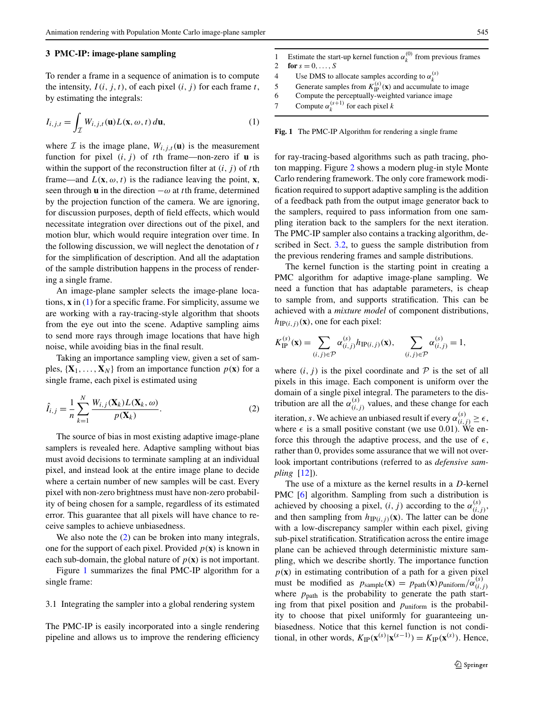## <span id="page-2-0"></span>**3 PMC-IP: image-plane sampling**

To render a frame in a sequence of animation is to compute the intensity,  $I(i, j, t)$ , of each pixel  $(i, j)$  for each frame  $t$ , by estimating the integrals:

$$
I_{i,j,t} = \int_{\mathcal{I}} W_{i,j,t}(\mathbf{u}) L(\mathbf{x}, \omega, t) d\mathbf{u},
$$
\n(1)

where  $\mathcal{I}$  is the image plane,  $W_{i,j,t}(\mathbf{u})$  is the measurement function for pixel  $(i, j)$  of *t*th frame—non-zero if **u** is within the support of the reconstruction filter at  $(i, j)$  of the frame—and  $L(\mathbf{x}, \omega, t)$  is the radiance leaving the point, **x**, seen through **u** in the direction  $-\omega$  at *t*th frame, determined by the projection function of the camera. We are ignoring, for discussion purposes, depth of field effects, which would necessitate integration over directions out of the pixel, and motion blur, which would require integration over time. In the following discussion, we will neglect the denotation of *t* for the simplification of description. And all the adaptation of the sample distribution happens in the process of rendering a single frame.

An image-plane sampler selects the image-plane locations, **x** in (1) for a specific frame. For simplicity, assume we are working with a ray-tracing-style algorithm that shoots from the eye out into the scene. Adaptive sampling aims to send more rays through image locations that have high noise, while avoiding bias in the final result.

Taking an importance sampling view, given a set of samples,  $\{X_1, \ldots, X_N\}$  from an importance function  $p(x)$  for a single frame, each pixel is estimated using

$$
\hat{I}_{i,j} = \frac{1}{n} \sum_{k=1}^{N} \frac{W_{i,j}(\mathbf{X}_k) L(\mathbf{X}_k, \omega)}{p(\mathbf{X}_k)}.
$$
\n(2)

The source of bias in most existing adaptive image-plane samplers is revealed here. Adaptive sampling without bias must avoid decisions to terminate sampling at an individual pixel, and instead look at the entire image plane to decide where a certain number of new samples will be cast. Every pixel with non-zero brightness must have non-zero probability of being chosen for a sample, regardless of its estimated error. This guarantee that all pixels will have chance to receive samples to achieve unbiasedness.

We also note the  $(2)$  can be broken into many integrals, one for the support of each pixel. Provided  $p(\mathbf{x})$  is known in each sub-domain, the global nature of  $p(\mathbf{x})$  is not important.

Figure 1 summarizes the final PMC-IP algorithm for a single frame:

#### 3.1 Integrating the sampler into a global rendering system

The PMC-IP is easily incorporated into a single rendering pipeline and allows us to improve the rendering efficiency

- 1 Estimate the start-up kernel function  $\alpha_k^{(0)}$  from previous frames 2 **for**  $s = 0, ..., S$ 4 Use DMS to allocate samples according to  $\alpha_k^{(s)}$
- 5 Generate samples from  $K_{IP}^{(s)}(\mathbf{x})$  and accumulate to image
- 6 Compute the perceptually-weighted variance image
- 7 Compute  $\alpha_k^{(s+1)}$  for each pixel *k*

**Fig. 1** The PMC-IP Algorithm for rendering a single frame

for ray-tracing-based algorithms such as path tracing, photon mapping. Figure [2](#page-3-0) shows a modern plug-in style Monte Carlo rendering framework. The only core framework modification required to support adaptive sampling is the addition of a feedback path from the output image generator back to the samplers, required to pass information from one sampling iteration back to the samplers for the next iteration. The PMC-IP sampler also contains a tracking algorithm, described in Sect. [3.2](#page-3-0), to guess the sample distribution from the previous rendering frames and sample distributions.

The kernel function is the starting point in creating a PMC algorithm for adaptive image-plane sampling. We need a function that has adaptable parameters, is cheap to sample from, and supports stratification. This can be achieved with a *mixture model* of component distributions,  $h_{IP(i,j)}(\mathbf{x})$ , one for each pixel:

$$
K_{\text{IP}}^{(s)}(\mathbf{x}) = \sum_{(i,j)\in\mathcal{P}} \alpha_{(i,j)}^{(s)} h_{\text{IP}(i,j)}(\mathbf{x}), \quad \sum_{(i,j)\in\mathcal{P}} \alpha_{(i,j)}^{(s)} = 1,
$$

where  $(i, j)$  is the pixel coordinate and  $P$  is the set of all pixels in this image. Each component is uniform over the domain of a single pixel integral. The parameters to the distribution are all the  $\alpha_{(i,j)}^{(s)}$  values, and these change for each iteration, *s*. We achieve an unbiased result if every  $\alpha_{(i,j)}^{(s)} \geq \epsilon$ , where  $\epsilon$  is a small positive constant (we use 0.01). We enforce this through the adaptive process, and the use of  $\epsilon$ . rather than 0, provides some assurance that we will not overlook important contributions (referred to as *defensive sampling* [[12\]](#page-9-0)).

The use of a mixture as the kernel results in a *D*-kernel PMC [\[6](#page-9-0)] algorithm. Sampling from such a distribution is achieved by choosing a pixel,  $(i, j)$  according to the  $\alpha_{(i,j)}^{(s)}$ , and then sampling from  $h_{IP(i,j)}(\mathbf{x})$ . The latter can be done with a low-discrepancy sampler within each pixel, giving sub-pixel stratification. Stratification across the entire image plane can be achieved through deterministic mixture sampling, which we describe shortly. The importance function  $p(\mathbf{x})$  in estimating contribution of a path for a given pixel must be modified as  $p_{\text{sample}}(\mathbf{x}) = p_{\text{path}}(\mathbf{x}) p_{\text{uniform}} / a_{(i,j)}^{(s)}$ where  $p_{path}$  is the probability to generate the path starting from that pixel position and  $p_{uniform}$  is the probability to choose that pixel uniformly for guaranteeing unbiasedness. Notice that this kernel function is not conditional, in other words,  $K_{IP}(\mathbf{x}^{(s)}|\mathbf{x}^{(s-1)}) = K_{IP}(\mathbf{x}^{(s)})$ . Hence,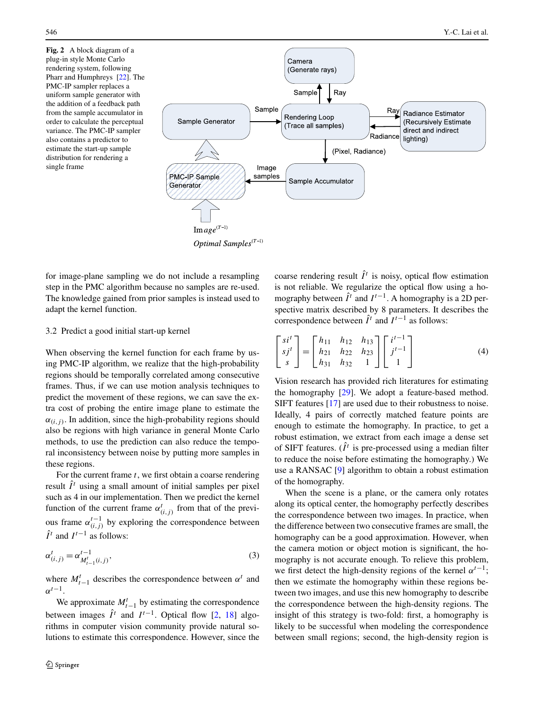<span id="page-3-0"></span>**Fig. 2** A block diagram of a plug-in style Monte Carlo rendering system, following Pharr and Humphreys [[22](#page-9-0)]. The PMC-IP sampler replaces a uniform sample generator with the addition of a feedback path from the sample accumulator in order to calculate the perceptual variance. The PMC-IP sampler also contains a predictor to estimate the start-up sample distribution for rendering a single frame



Optimal Samples $(T-1)$ 

for image-plane sampling we do not include a resampling step in the PMC algorithm because no samples are re-used. The knowledge gained from prior samples is instead used to adapt the kernel function.

#### 3.2 Predict a good initial start-up kernel

When observing the kernel function for each frame by using PMC-IP algorithm, we realize that the high-probability regions should be temporally correlated among consecutive frames. Thus, if we can use motion analysis techniques to predict the movement of these regions, we can save the extra cost of probing the entire image plane to estimate the  $\alpha_{(i,j)}$ . In addition, since the high-probability regions should also be regions with high variance in general Monte Carlo methods, to use the prediction can also reduce the temporal inconsistency between noise by putting more samples in these regions.

For the current frame *t*, we first obtain a coarse rendering result  $\hat{I}^t$  using a small amount of initial samples per pixel such as 4 in our implementation. Then we predict the kernel function of the current frame  $\alpha^t_{(i,j)}$  from that of the previous frame  $\alpha_{(i,j)}^{t-1}$  by exploring the correspondence between  $\hat{I}^t$  and  $I^{t-1}$  as follows:

$$
\alpha_{(i,j)}^t = \alpha_{M_{t-1}^t(i,j)}^{t-1},\tag{3}
$$

where  $M_{t-1}^t$  describes the correspondence between  $\alpha^t$  and  $\alpha^{t-1}$ .

We approximate  $M_{t-1}^t$  by estimating the correspondence between images  $\hat{I}^t$  and  $I^{t-1}$ . Optical flow [[2,](#page-9-0) [18\]](#page-9-0) algorithms in computer vision community provide natural solutions to estimate this correspondence. However, since the coarse rendering result  $\hat{I}^t$  is noisy, optical flow estimation is not reliable. We regularize the optical flow using a homography between  $\hat{I}^t$  and  $I^{t-1}$ . A homography is a 2D perspective matrix described by 8 parameters. It describes the correspondence between  $\hat{I}^t$  and  $I^{t-1}$  as follows:

$$
\begin{bmatrix} s i^t \\ s j^t \\ s \end{bmatrix} = \begin{bmatrix} h_{11} & h_{12} & h_{13} \\ h_{21} & h_{22} & h_{23} \\ h_{31} & h_{32} & 1 \end{bmatrix} \begin{bmatrix} i^{t-1} \\ j^{t-1} \\ 1 \end{bmatrix}
$$
 (4)

Vision research has provided rich literatures for estimating the homography [\[29](#page-9-0)]. We adopt a feature-based method. SIFT features [\[17](#page-9-0)] are used due to their robustness to noise. Ideally, 4 pairs of correctly matched feature points are enough to estimate the homography. In practice, to get a robust estimation, we extract from each image a dense set of SIFT features. ( $\hat{I}^t$  is pre-processed using a median filter to reduce the noise before estimating the homography.) We use a RANSAC [[9\]](#page-9-0) algorithm to obtain a robust estimation of the homography.

When the scene is a plane, or the camera only rotates along its optical center, the homography perfectly describes the correspondence between two images. In practice, when the difference between two consecutive frames are small, the homography can be a good approximation. However, when the camera motion or object motion is significant, the homography is not accurate enough. To relieve this problem, we first detect the high-density regions of the kernel  $\alpha^{t-1}$ ; then we estimate the homography within these regions between two images, and use this new homography to describe the correspondence between the high-density regions. The insight of this strategy is two-fold: first, a homography is likely to be successful when modeling the correspondence between small regions; second, the high-density region is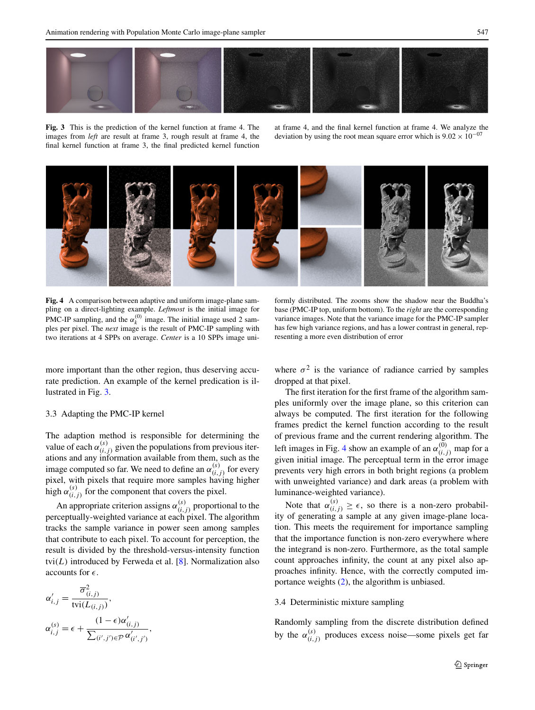<span id="page-4-0"></span>

**Fig. 3** This is the prediction of the kernel function at frame 4. The images from *left* are result at frame 3, rough result at frame 4, the final kernel function at frame 3, the final predicted kernel function

at frame 4, and the final kernel function at frame 4. We analyze the deviation by using the root mean square error which is  $9.02 \times 10^{-07}$ 



**Fig. 4** A comparison between adaptive and uniform image-plane sampling on a direct-lighting example. *Leftmost* is the initial image for PMC-IP sampling, and the  $\alpha_k^{(0)}$  image. The initial image used 2 samples per pixel. The *next* image is the result of PMC-IP sampling with two iterations at 4 SPPs on average. *Center* is a 10 SPPs image uni-

more important than the other region, thus deserving accurate prediction. An example of the kernel predication is illustrated in Fig. 3.

#### 3.3 Adapting the PMC-IP kernel

The adaption method is responsible for determining the value of each  $\alpha_{(i,j)}^{(s)}$  given the populations from previous iterations and any information available from them, such as the image computed so far. We need to define an  $\alpha_{(i,j)}^{(s)}$  for every pixel, with pixels that require more samples having higher high  $\alpha_{(i,j)}^{(s)}$  for the component that covers the pixel.

An appropriate criterion assigns  $\alpha_{(i,j)}^{(s)}$  proportional to the perceptually-weighted variance at each pixel. The algorithm tracks the sample variance in power seen among samples that contribute to each pixel. To account for perception, the result is divided by the threshold-versus-intensity function tvi*(L)* introduced by Ferweda et al. [\[8](#page-9-0)]. Normalization also accounts for  $\epsilon$ .

$$
\alpha'_{i,j} = \frac{\overline{\sigma}^2_{(i,j)}}{\text{tri}(L_{(i,j)})},
$$
  
\n
$$
\alpha^{(s)}_{i,j} = \epsilon + \frac{(1-\epsilon)\alpha'_{(i,j)}}{\sum_{(i',j') \in \mathcal{P}} \alpha'_{(i',j')}},
$$

formly distributed. The zooms show the shadow near the Buddha's base (PMC-IP top, uniform bottom). To the *right* are the corresponding variance images. Note that the variance image for the PMC-IP sampler has few high variance regions, and has a lower contrast in general, representing a more even distribution of error

where  $\sigma^2$  is the variance of radiance carried by samples dropped at that pixel.

The first iteration for the first frame of the algorithm samples uniformly over the image plane, so this criterion can always be computed. The first iteration for the following frames predict the kernel function according to the result of previous frame and the current rendering algorithm. The left images in Fig. 4 show an example of an  $\alpha_{(i,j)}^{(0)}$  map for a given initial image. The perceptual term in the error image prevents very high errors in both bright regions (a problem with unweighted variance) and dark areas (a problem with luminance-weighted variance).

Note that  $\alpha_{(i,j)}^{(s)} \geq \epsilon$ , so there is a non-zero probability of generating a sample at any given image-plane location. This meets the requirement for importance sampling that the importance function is non-zero everywhere where the integrand is non-zero. Furthermore, as the total sample count approaches infinity, the count at any pixel also approaches infinity. Hence, with the correctly computed importance weights [\(2](#page-2-0)), the algorithm is unbiased.

#### 3.4 Deterministic mixture sampling

Randomly sampling from the discrete distribution defined by the  $\alpha_{(i,j)}^{(s)}$  produces excess noise—some pixels get far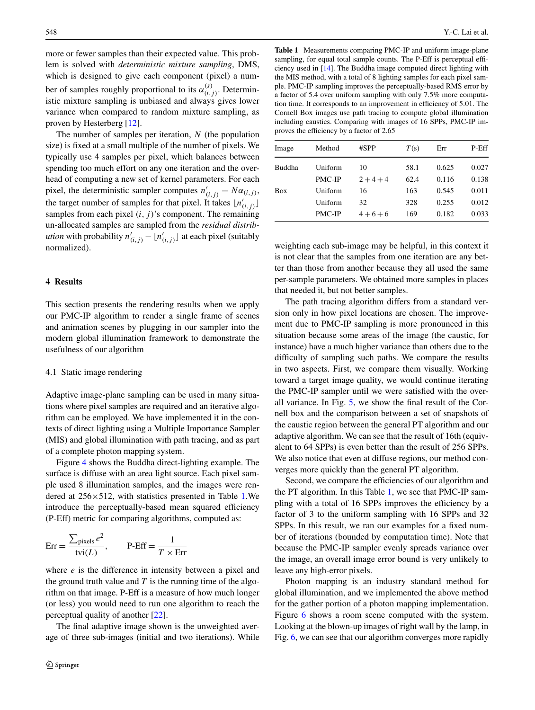more or fewer samples than their expected value. This problem is solved with *deterministic mixture sampling*, DMS, which is designed to give each component (pixel) a number of samples roughly proportional to its  $\alpha_{(i,j)}^{(s)}$ . Deterministic mixture sampling is unbiased and always gives lower variance when compared to random mixture sampling, as proven by Hesterberg [\[12](#page-9-0)].

The number of samples per iteration, *N* (the population size) is fixed at a small multiple of the number of pixels. We typically use 4 samples per pixel, which balances between spending too much effort on any one iteration and the overhead of computing a new set of kernel parameters. For each pixel, the deterministic sampler computes  $n'_{(i,j)} = N\alpha_{(i,j)}$ , the target number of samples for that pixel. It takes  $\lfloor n'_{(i,j)} \rfloor$ samples from each pixel  $(i, j)$ 's component. The remaining un-allocated samples are sampled from the *residual distribution* with probability  $n'_{(i,j)} - \lfloor n'_{(i,j)} \rfloor$  at each pixel (suitably normalized).

## **4 Results**

This section presents the rendering results when we apply our PMC-IP algorithm to render a single frame of scenes and animation scenes by plugging in our sampler into the modern global illumination framework to demonstrate the usefulness of our algorithm

#### 4.1 Static image rendering

Adaptive image-plane sampling can be used in many situations where pixel samples are required and an iterative algorithm can be employed. We have implemented it in the contexts of direct lighting using a Multiple Importance Sampler (MIS) and global illumination with path tracing, and as part of a complete photon mapping system.

Figure [4](#page-4-0) shows the Buddha direct-lighting example. The surface is diffuse with an area light source. Each pixel sample used 8 illumination samples, and the images were rendered at  $256 \times 512$ , with statistics presented in Table 1. We introduce the perceptually-based mean squared efficiency (P-Eff) metric for comparing algorithms, computed as:

$$
Err = \frac{\sum_{\text{pixels}} e^2}{\text{tvi}(L)}, \qquad P\text{-Eff} = \frac{1}{T \times Err}
$$

where *e* is the difference in intensity between a pixel and the ground truth value and  $T$  is the running time of the algorithm on that image. P-Eff is a measure of how much longer (or less) you would need to run one algorithm to reach the perceptual quality of another [\[22](#page-9-0)].

The final adaptive image shown is the unweighted average of three sub-images (initial and two iterations). While

**Table 1** Measurements comparing PMC-IP and uniform image-plane sampling, for equal total sample counts. The P-Eff is perceptual efficiency used in [[14](#page-9-0)]. The Buddha image computed direct lighting with the MIS method, with a total of 8 lighting samples for each pixel sample. PMC-IP sampling improves the perceptually-based RMS error by a factor of 5.4 over uniform sampling with only 7.5% more computation time. It corresponds to an improvement in efficiency of 5.01. The Cornell Box images use path tracing to compute global illumination including caustics. Comparing with images of 16 SPPs, PMC-IP improves the efficiency by a factor of 2.65

| Image  | Method        | #SPP    | T(s) | Err   | P-Eff |
|--------|---------------|---------|------|-------|-------|
| Buddha | Uniform       | 10      | 58.1 | 0.625 | 0.027 |
|        | <b>PMC-IP</b> | $2+4+4$ | 62.4 | 0.116 | 0.138 |
| Box    | Uniform       | 16      | 163  | 0.545 | 0.011 |
|        | Uniform       | 32      | 328  | 0.255 | 0.012 |
|        | <b>PMC-IP</b> | $4+6+6$ | 169  | 0.182 | 0.033 |

weighting each sub-image may be helpful, in this context it is not clear that the samples from one iteration are any better than those from another because they all used the same per-sample parameters. We obtained more samples in places that needed it, but not better samples.

The path tracing algorithm differs from a standard version only in how pixel locations are chosen. The improvement due to PMC-IP sampling is more pronounced in this situation because some areas of the image (the caustic, for instance) have a much higher variance than others due to the difficulty of sampling such paths. We compare the results in two aspects. First, we compare them visually. Working toward a target image quality, we would continue iterating the PMC-IP sampler until we were satisfied with the overall variance. In Fig. [5](#page-6-0), we show the final result of the Cornell box and the comparison between a set of snapshots of the caustic region between the general PT algorithm and our adaptive algorithm. We can see that the result of 16th (equivalent to 64 SPPs) is even better than the result of 256 SPPs. We also notice that even at diffuse regions, our method converges more quickly than the general PT algorithm.

Second, we compare the efficiencies of our algorithm and the PT algorithm. In this Table 1, we see that PMC-IP sampling with a total of 16 SPPs improves the efficiency by a factor of 3 to the uniform sampling with 16 SPPs and 32 SPPs. In this result, we ran our examples for a fixed number of iterations (bounded by computation time). Note that because the PMC-IP sampler evenly spreads variance over the image, an overall image error bound is very unlikely to leave any high-error pixels.

Photon mapping is an industry standard method for global illumination, and we implemented the above method for the gather portion of a photon mapping implementation. Figure [6](#page-6-0) shows a room scene computed with the system. Looking at the blown-up images of right wall by the lamp, in Fig. [6,](#page-6-0) we can see that our algorithm converges more rapidly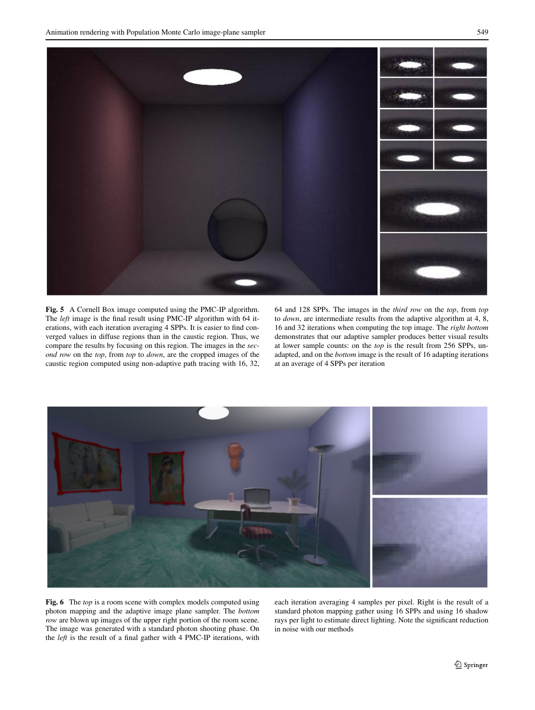<span id="page-6-0"></span>

**Fig. 5** A Cornell Box image computed using the PMC-IP algorithm. The *left* image is the final result using PMC-IP algorithm with 64 iterations, with each iteration averaging 4 SPPs. It is easier to find converged values in diffuse regions than in the caustic region. Thus, we compare the results by focusing on this region. The images in the *second row* on the *top*, from *top* to *down*, are the cropped images of the caustic region computed using non-adaptive path tracing with 16, 32, 64 and 128 SPPs. The images in the *third row* on the *top*, from *top* to *down*, are intermediate results from the adaptive algorithm at 4, 8, 16 and 32 iterations when computing the top image. The *right bottom* demonstrates that our adaptive sampler produces better visual results at lower sample counts: on the *top* is the result from 256 SPPs, unadapted, and on the *bottom* image is the result of 16 adapting iterations at an average of 4 SPPs per iteration



**Fig. 6** The *top* is a room scene with complex models computed using photon mapping and the adaptive image plane sampler. The *bottom row* are blown up images of the upper right portion of the room scene. The image was generated with a standard photon shooting phase. On the *left* is the result of a final gather with 4 PMC-IP iterations, with each iteration averaging 4 samples per pixel. Right is the result of a standard photon mapping gather using 16 SPPs and using 16 shadow rays per light to estimate direct lighting. Note the significant reduction in noise with our methods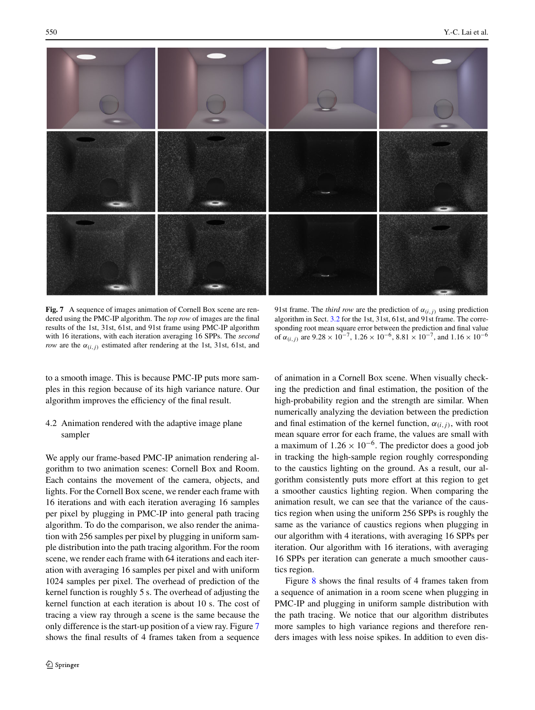

Fig. 7 A sequence of images animation of Cornell Box scene are rendered using the PMC-IP algorithm. The *top row* of images are the final results of the 1st, 31st, 61st, and 91st frame using PMC-IP algorithm with 16 iterations, with each iteration averaging 16 SPPs. The *second row* are the  $\alpha_{(i,j)}$  estimated after rendering at the 1st, 31st, 61st, and

to a smooth image. This is because PMC-IP puts more samples in this region because of its high variance nature. Our algorithm improves the efficiency of the final result.

# 4.2 Animation rendered with the adaptive image plane sampler

We apply our frame-based PMC-IP animation rendering algorithm to two animation scenes: Cornell Box and Room. Each contains the movement of the camera, objects, and lights. For the Cornell Box scene, we render each frame with 16 iterations and with each iteration averaging 16 samples per pixel by plugging in PMC-IP into general path tracing algorithm. To do the comparison, we also render the animation with 256 samples per pixel by plugging in uniform sample distribution into the path tracing algorithm. For the room scene, we render each frame with 64 iterations and each iteration with averaging 16 samples per pixel and with uniform 1024 samples per pixel. The overhead of prediction of the kernel function is roughly 5 s. The overhead of adjusting the kernel function at each iteration is about 10 s. The cost of tracing a view ray through a scene is the same because the only difference is the start-up position of a view ray. Figure 7 shows the final results of 4 frames taken from a sequence

91st frame. The *third row* are the prediction of  $\alpha_{(i,j)}$  using prediction algorithm in Sect. [3.2](#page-3-0) for the 1st, 31st, 61st, and 91st frame. The corresponding root mean square error between the prediction and final value of  $\alpha_{(i,j)}$  are  $9.28 \times 10^{-7}$ ,  $1.26 \times 10^{-6}$ ,  $8.81 \times 10^{-7}$ , and  $1.16 \times 10^{-6}$ 

of animation in a Cornell Box scene. When visually checking the prediction and final estimation, the position of the high-probability region and the strength are similar. When numerically analyzing the deviation between the prediction and final estimation of the kernel function,  $\alpha_{(i,j)}$ , with root mean square error for each frame, the values are small with a maximum of  $1.26 \times 10^{-6}$ . The predictor does a good job in tracking the high-sample region roughly corresponding to the caustics lighting on the ground. As a result, our algorithm consistently puts more effort at this region to get a smoother caustics lighting region. When comparing the animation result, we can see that the variance of the caustics region when using the uniform 256 SPPs is roughly the same as the variance of caustics regions when plugging in our algorithm with 4 iterations, with averaging 16 SPPs per iteration. Our algorithm with 16 iterations, with averaging 16 SPPs per iteration can generate a much smoother caustics region.

Figure [8](#page-8-0) shows the final results of 4 frames taken from a sequence of animation in a room scene when plugging in PMC-IP and plugging in uniform sample distribution with the path tracing. We notice that our algorithm distributes more samples to high variance regions and therefore renders images with less noise spikes. In addition to even dis-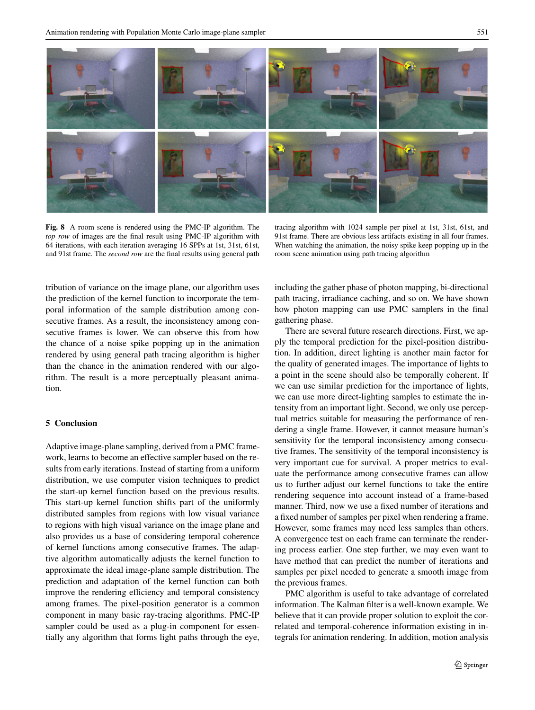<span id="page-8-0"></span>

**Fig. 8** A room scene is rendered using the PMC-IP algorithm. The *top row* of images are the final result using PMC-IP algorithm with 64 iterations, with each iteration averaging 16 SPPs at 1st, 31st, 61st, and 91st frame. The *second row* are the final results using general path

tracing algorithm with 1024 sample per pixel at 1st, 31st, 61st, and 91st frame. There are obvious less artifacts existing in all four frames. When watching the animation, the noisy spike keep popping up in the room scene animation using path tracing algorithm

tribution of variance on the image plane, our algorithm uses the prediction of the kernel function to incorporate the temporal information of the sample distribution among consecutive frames. As a result, the inconsistency among consecutive frames is lower. We can observe this from how the chance of a noise spike popping up in the animation rendered by using general path tracing algorithm is higher than the chance in the animation rendered with our algorithm. The result is a more perceptually pleasant animation.

#### **5 Conclusion**

Adaptive image-plane sampling, derived from a PMC framework, learns to become an effective sampler based on the results from early iterations. Instead of starting from a uniform distribution, we use computer vision techniques to predict the start-up kernel function based on the previous results. This start-up kernel function shifts part of the uniformly distributed samples from regions with low visual variance to regions with high visual variance on the image plane and also provides us a base of considering temporal coherence of kernel functions among consecutive frames. The adaptive algorithm automatically adjusts the kernel function to approximate the ideal image-plane sample distribution. The prediction and adaptation of the kernel function can both improve the rendering efficiency and temporal consistency among frames. The pixel-position generator is a common component in many basic ray-tracing algorithms. PMC-IP sampler could be used as a plug-in component for essentially any algorithm that forms light paths through the eye, including the gather phase of photon mapping, bi-directional path tracing, irradiance caching, and so on. We have shown how photon mapping can use PMC samplers in the final gathering phase.

There are several future research directions. First, we apply the temporal prediction for the pixel-position distribution. In addition, direct lighting is another main factor for the quality of generated images. The importance of lights to a point in the scene should also be temporally coherent. If we can use similar prediction for the importance of lights, we can use more direct-lighting samples to estimate the intensity from an important light. Second, we only use perceptual metrics suitable for measuring the performance of rendering a single frame. However, it cannot measure human's sensitivity for the temporal inconsistency among consecutive frames. The sensitivity of the temporal inconsistency is very important cue for survival. A proper metrics to evaluate the performance among consecutive frames can allow us to further adjust our kernel functions to take the entire rendering sequence into account instead of a frame-based manner. Third, now we use a fixed number of iterations and a fixed number of samples per pixel when rendering a frame. However, some frames may need less samples than others. A convergence test on each frame can terminate the rendering process earlier. One step further, we may even want to have method that can predict the number of iterations and samples per pixel needed to generate a smooth image from the previous frames.

PMC algorithm is useful to take advantage of correlated information. The Kalman filter is a well-known example. We believe that it can provide proper solution to exploit the correlated and temporal-coherence information existing in integrals for animation rendering. In addition, motion analysis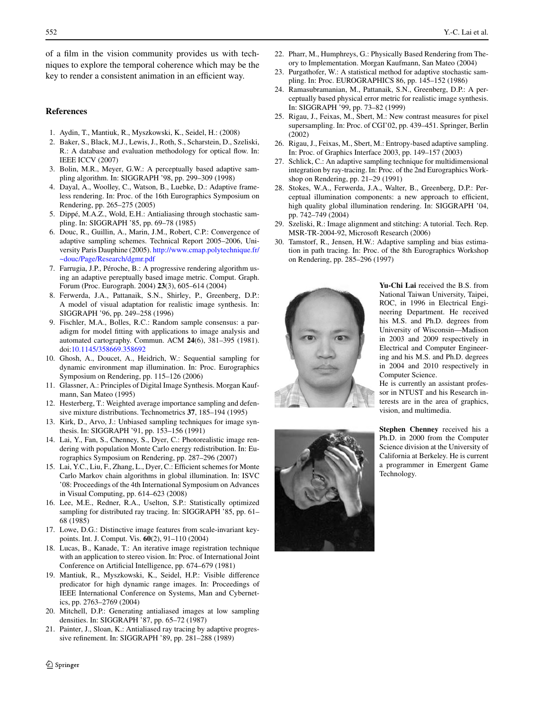<span id="page-9-0"></span>of a film in the vision community provides us with techniques to explore the temporal coherence which may be the key to render a consistent animation in an efficient way.

## **References**

- 1. Aydin, T., Mantiuk, R., Myszkowski, K., Seidel, H.: (2008)
- 2. Baker, S., Black, M.J., Lewis, J., Roth, S., Scharstein, D., Szeliski, R.: A database and evaluation methodology for optical flow. In: IEEE ICCV (2007)
- 3. Bolin, M.R., Meyer, G.W.: A perceptually based adaptive sampling algorithm. In: SIGGRAPH '98, pp. 299–309 (1998)
- 4. Dayal, A., Woolley, C., Watson, B., Luebke, D.: Adaptive frameless rendering. In: Proc. of the 16th Eurographics Symposium on Rendering, pp. 265–275 (2005)
- 5. Dippé, M.A.Z., Wold, E.H.: Antialiasing through stochastic sampling. In: SIGGRAPH '85, pp. 69–78 (1985)
- 6. Douc, R., Guillin, A., Marin, J.M., Robert, C.P.: Convergence of adaptive sampling schemes. Technical Report 2005–2006, University Paris Dauphine (2005). [http://www.cmap.polytechnique.fr/](http://www.cmap.polytechnique.fr/~douc/Page/Research/dgmr.pdf) [~douc/Page/Research/dgmr.pdf](http://www.cmap.polytechnique.fr/~douc/Page/Research/dgmr.pdf)
- 7. Farrugia, J.P., Péroche, B.: A progressive rendering algorithm using an adaptive pereptually based image metric. Comput. Graph. Forum (Proc. Eurograph. 2004) **23**(3), 605–614 (2004)
- 8. Ferwerda, J.A., Pattanaik, S.N., Shirley, P., Greenberg, D.P.: A model of visual adaptation for realistic image synthesis. In: SIGGRAPH '96, pp. 249–258 (1996)
- 9. Fischler, M.A., Bolles, R.C.: Random sample consensus: a paradigm for model fitting with applications to image analysis and automated cartography. Commun. ACM **24**(6), 381–395 (1981). doi:[10.1145/358669.358692](http://dx.doi.org/10.1145/358669.358692)
- 10. Ghosh, A., Doucet, A., Heidrich, W.: Sequential sampling for dynamic environment map illumination. In: Proc. Eurographics Symposium on Rendering, pp. 115–126 (2006)
- 11. Glassner, A.: Principles of Digital Image Synthesis. Morgan Kaufmann, San Mateo (1995)
- 12. Hesterberg, T.: Weighted average importance sampling and defensive mixture distributions. Technometrics **37**, 185–194 (1995)
- 13. Kirk, D., Arvo, J.: Unbiased sampling techniques for image synthesis. In: SIGGRAPH '91, pp. 153–156 (1991)
- 14. Lai, Y., Fan, S., Chenney, S., Dyer, C.: Photorealistic image rendering with population Monte Carlo energy redistribution. In: Eurographics Symposium on Rendering, pp. 287–296 (2007)
- 15. Lai, Y.C., Liu, F., Zhang, L., Dyer, C.: Efficient schemes for Monte Carlo Markov chain algorithms in global illumination. In: ISVC '08: Proceedings of the 4th International Symposium on Advances in Visual Computing, pp. 614–623 (2008)
- 16. Lee, M.E., Redner, R.A., Uselton, S.P.: Statistically optimized sampling for distributed ray tracing. In: SIGGRAPH '85, pp. 61– 68 (1985)
- 17. Lowe, D.G.: Distinctive image features from scale-invariant keypoints. Int. J. Comput. Vis. **60**(2), 91–110 (2004)
- 18. Lucas, B., Kanade, T.: An iterative image registration technique with an application to stereo vision. In: Proc. of International Joint Conference on Artificial Intelligence, pp. 674–679 (1981)
- 19. Mantiuk, R., Myszkowski, K., Seidel, H.P.: Visible difference predicator for high dynamic range images. In: Proceedings of IEEE International Conference on Systems, Man and Cybernetics, pp. 2763–2769 (2004)
- 20. Mitchell, D.P.: Generating antialiased images at low sampling densities. In: SIGGRAPH '87, pp. 65–72 (1987)
- 21. Painter, J., Sloan, K.: Antialiased ray tracing by adaptive progressive refinement. In: SIGGRAPH '89, pp. 281–288 (1989)
- 22. Pharr, M., Humphreys, G.: Physically Based Rendering from Theory to Implementation. Morgan Kaufmann, San Mateo (2004)
- 23. Purgathofer, W.: A statistical method for adaptive stochastic sampling. In: Proc. EUROGRAPHICS 86, pp. 145–152 (1986)
- 24. Ramasubramanian, M., Pattanaik, S.N., Greenberg, D.P.: A perceptually based physical error metric for realistic image synthesis. In: SIGGRAPH '99, pp. 73–82 (1999)
- 25. Rigau, J., Feixas, M., Sbert, M.: New contrast measures for pixel supersampling. In: Proc. of CGI'02, pp. 439–451. Springer, Berlin (2002)
- 26. Rigau, J., Feixas, M., Sbert, M.: Entropy-based adaptive sampling. In: Proc. of Graphics Interface 2003, pp. 149–157 (2003)
- 27. Schlick, C.: An adaptive sampling technique for multidimensional integration by ray-tracing. In: Proc. of the 2nd Eurographics Workshop on Rendering, pp. 21–29 (1991)
- 28. Stokes, W.A., Ferwerda, J.A., Walter, B., Greenberg, D.P.: Perceptual illumination components: a new approach to efficient, high quality global illumination rendering. In: SIGGRAPH '04, pp. 742–749 (2004)
- 29. Szeliski, R.: Image alignment and stitching: A tutorial. Tech. Rep. MSR-TR-2004-92, Microsoft Research (2006)
- 30. Tamstorf, R., Jensen, H.W.: Adaptive sampling and bias estimation in path tracing. In: Proc. of the 8th Eurographics Workshop on Rendering, pp. 285–296 (1997)



**Yu-Chi Lai** received the B.S. from National Taiwan University, Taipei, ROC, in 1996 in Electrical Engineering Department. He received his M.S. and Ph.D. degrees from University of Wisconsin—Madison in 2003 and 2009 respectively in Electrical and Computer Engineering and his M.S. and Ph.D. degrees in 2004 and 2010 respectively in Computer Science.

He is currently an assistant professor in NTUST and his Research interests are in the area of graphics, vision, and multimedia.



**Stephen Chenney** received his a Ph.D. in 2000 from the Computer Science division at the University of California at Berkeley. He is current a programmer in Emergent Game Technology.

 $\bigcircled{2}$  Springer